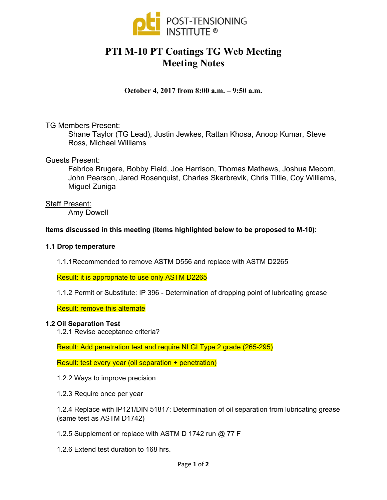

# **PTI M-10 PT Coatings TG Web Meeting Meeting Notes**

**October 4, 2017 from 8:00 a.m. – 9:50 a.m.** 

# TG Members Present:

Shane Taylor (TG Lead), Justin Jewkes, Rattan Khosa, Anoop Kumar, Steve Ross, Michael Williams

# Guests Present:

Fabrice Brugere, Bobby Field, Joe Harrison, Thomas Mathews, Joshua Mecom, John Pearson, Jared Rosenquist, Charles Skarbrevik, Chris Tillie, Coy Williams, Miguel Zuniga

# Staff Present:

Amy Dowell

# **Items discussed in this meeting (items highlighted below to be proposed to M-10):**

## **1.1 Drop temperature**

1.1.1Recommended to remove ASTM D556 and replace with ASTM D2265

Result: it is appropriate to use only ASTM D2265

1.1.2 Permit or Substitute: IP 396 - Determination of dropping point of lubricating grease

Result: remove this alternate

## **1.2 Oil Separation Test**

1.2.1 Revise acceptance criteria?

Result: Add penetration test and require NLGI Type 2 grade (265-295)

Result: test every year (oil separation + penetration)

- 1.2.2 Ways to improve precision
- 1.2.3 Require once per year

1.2.4 Replace with IP121/DIN 51817: Determination of oil separation from lubricating grease (same test as ASTM D1742)

- 1.2.5 Supplement or replace with ASTM D 1742 run @ 77 F
- 1.2.6 Extend test duration to 168 hrs.